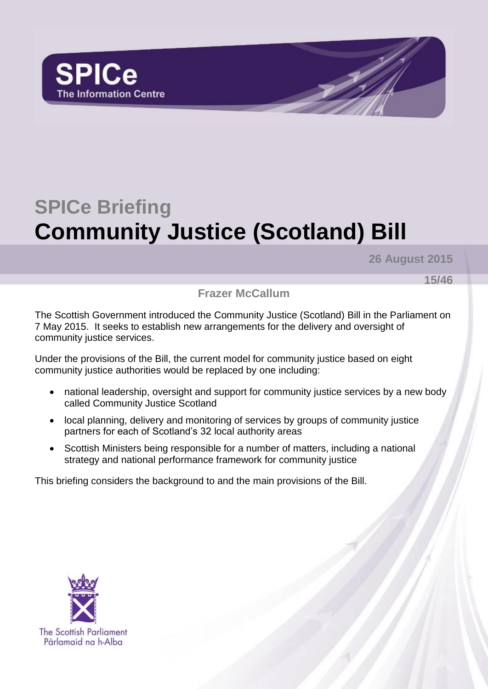

# **SPICe Briefing Community Justice (Scotland) Bill**

**26 August 2015**

**15/46**

**Frazer McCallum**

The Scottish Government introduced the Community Justice (Scotland) Bill in the Parliament on 7 May 2015. It seeks to establish new arrangements for the delivery and oversight of community justice services.

Under the provisions of the Bill, the current model for community justice based on eight community justice authorities would be replaced by one including:

- national leadership, oversight and support for community justice services by a new body called Community Justice Scotland
- local planning, delivery and monitoring of services by groups of community justice partners for each of Scotland's 32 local authority areas
- Scottish Ministers being responsible for a number of matters, including a national strategy and national performance framework for community justice

This briefing considers the background to and the main provisions of the Bill.

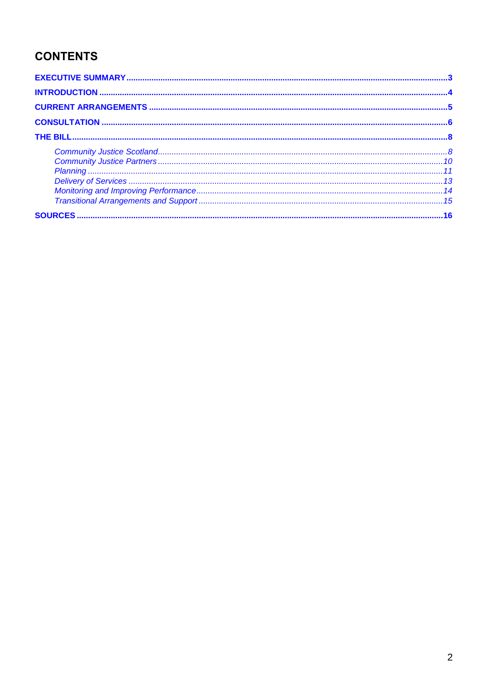# **CONTENTS**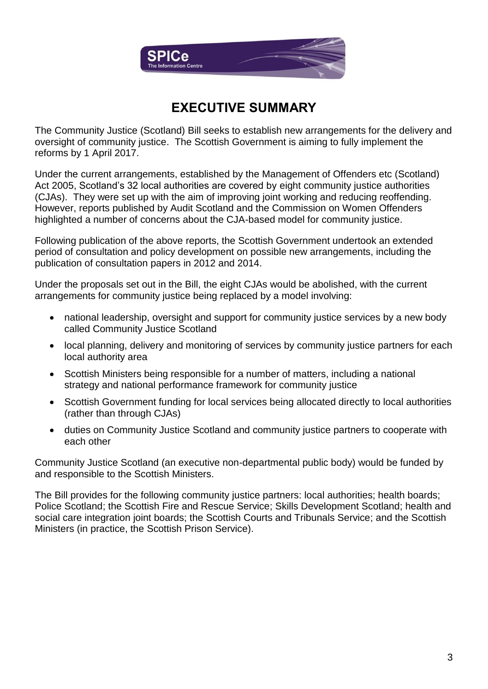

## **EXECUTIVE SUMMARY**

<span id="page-2-0"></span>The Community Justice (Scotland) Bill seeks to establish new arrangements for the delivery and oversight of community justice. The Scottish Government is aiming to fully implement the reforms by 1 April 2017.

Under the current arrangements, established by the Management of Offenders etc (Scotland) Act 2005, Scotland's 32 local authorities are covered by eight community justice authorities (CJAs). They were set up with the aim of improving joint working and reducing reoffending. However, reports published by Audit Scotland and the Commission on Women Offenders highlighted a number of concerns about the CJA-based model for community justice.

Following publication of the above reports, the Scottish Government undertook an extended period of consultation and policy development on possible new arrangements, including the publication of consultation papers in 2012 and 2014.

Under the proposals set out in the Bill, the eight CJAs would be abolished, with the current arrangements for community justice being replaced by a model involving:

- national leadership, oversight and support for community justice services by a new body called Community Justice Scotland
- local planning, delivery and monitoring of services by community justice partners for each local authority area
- Scottish Ministers being responsible for a number of matters, including a national strategy and national performance framework for community justice
- Scottish Government funding for local services being allocated directly to local authorities (rather than through CJAs)
- duties on Community Justice Scotland and community justice partners to cooperate with each other

Community Justice Scotland (an executive non-departmental public body) would be funded by and responsible to the Scottish Ministers.

The Bill provides for the following community justice partners: local authorities; health boards; Police Scotland; the Scottish Fire and Rescue Service; Skills Development Scotland; health and social care integration joint boards; the Scottish Courts and Tribunals Service; and the Scottish Ministers (in practice, the Scottish Prison Service).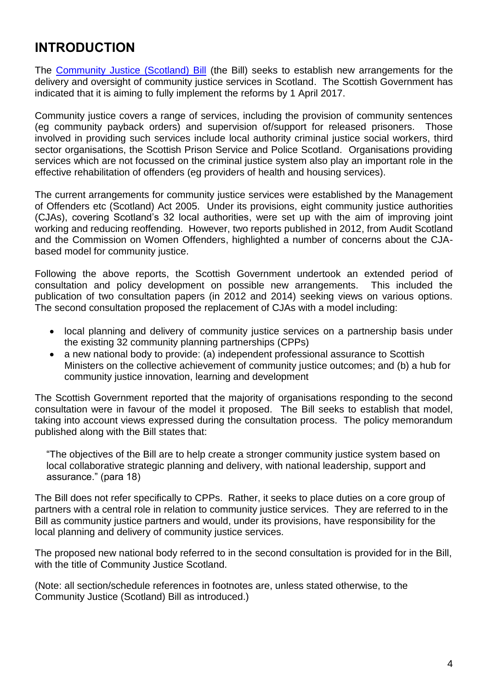# <span id="page-3-0"></span>**INTRODUCTION**

The [Community Justice \(Scotland\) Bill](http://www.scottish.parliament.uk/S4_Bills/Community%20Justice%20(Scotland)%20Bill/b68s4-introd.pdf) (the Bill) seeks to establish new arrangements for the delivery and oversight of community justice services in Scotland. The Scottish Government has indicated that it is aiming to fully implement the reforms by 1 April 2017.

Community justice covers a range of services, including the provision of community sentences (eg community payback orders) and supervision of/support for released prisoners. Those involved in providing such services include local authority criminal justice social workers, third sector organisations, the Scottish Prison Service and Police Scotland. Organisations providing services which are not focussed on the criminal justice system also play an important role in the effective rehabilitation of offenders (eg providers of health and housing services).

The current arrangements for community justice services were established by the Management of Offenders etc (Scotland) Act 2005. Under its provisions, eight community justice authorities (CJAs), covering Scotland's 32 local authorities, were set up with the aim of improving joint working and reducing reoffending. However, two reports published in 2012, from Audit Scotland and the Commission on Women Offenders, highlighted a number of concerns about the CJAbased model for community justice.

Following the above reports, the Scottish Government undertook an extended period of consultation and policy development on possible new arrangements. This included the publication of two consultation papers (in 2012 and 2014) seeking views on various options. The second consultation proposed the replacement of CJAs with a model including:

- local planning and delivery of community justice services on a partnership basis under the existing 32 community planning partnerships (CPPs)
- a new national body to provide: (a) independent professional assurance to Scottish Ministers on the collective achievement of community justice outcomes; and (b) a hub for community justice innovation, learning and development

The Scottish Government reported that the majority of organisations responding to the second consultation were in favour of the model it proposed. The Bill seeks to establish that model, taking into account views expressed during the consultation process. The policy memorandum published along with the Bill states that:

"The objectives of the Bill are to help create a stronger community justice system based on local collaborative strategic planning and delivery, with national leadership, support and assurance." (para 18)

The Bill does not refer specifically to CPPs. Rather, it seeks to place duties on a core group of partners with a central role in relation to community justice services. They are referred to in the Bill as community justice partners and would, under its provisions, have responsibility for the local planning and delivery of community justice services.

The proposed new national body referred to in the second consultation is provided for in the Bill, with the title of Community Justice Scotland.

(Note: all section/schedule references in footnotes are, unless stated otherwise, to the Community Justice (Scotland) Bill as introduced.)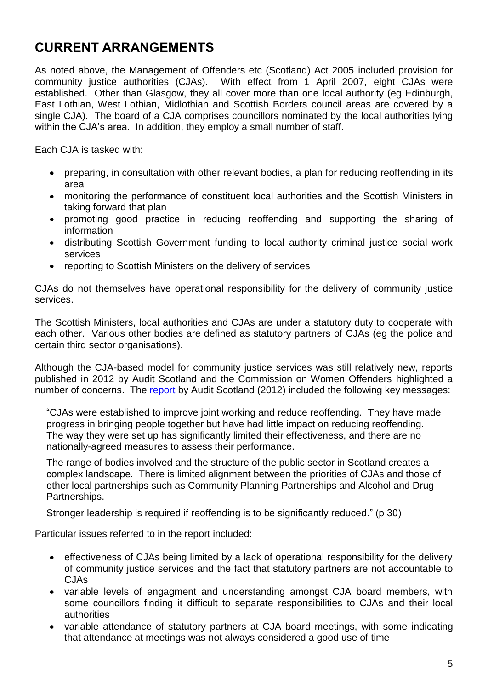# <span id="page-4-0"></span>**CURRENT ARRANGEMENTS**

As noted above, the Management of Offenders etc (Scotland) Act 2005 included provision for community justice authorities (CJAs). With effect from 1 April 2007, eight CJAs were established. Other than Glasgow, they all cover more than one local authority (eg Edinburgh, East Lothian, West Lothian, Midlothian and Scottish Borders council areas are covered by a single CJA). The board of a CJA comprises councillors nominated by the local authorities lying within the CJA's area. In addition, they employ a small number of staff.

Each CJA is tasked with:

- preparing, in consultation with other relevant bodies, a plan for reducing reoffending in its area
- monitoring the performance of constituent local authorities and the Scottish Ministers in taking forward that plan
- promoting good practice in reducing reoffending and supporting the sharing of information
- distributing Scottish Government funding to local authority criminal justice social work services
- reporting to Scottish Ministers on the delivery of services

CJAs do not themselves have operational responsibility for the delivery of community justice services.

The Scottish Ministers, local authorities and CJAs are under a statutory duty to cooperate with each other. Various other bodies are defined as statutory partners of CJAs (eg the police and certain third sector organisations).

Although the CJA-based model for community justice services was still relatively new, reports published in 2012 by Audit Scotland and the Commission on Women Offenders highlighted a number of concerns. The [report](http://www.audit-scotland.gov.uk/docs/central/2012/nr_121107_reducing_reoffending.pdf) by Audit Scotland (2012) included the following key messages:

"CJAs were established to improve joint working and reduce reoffending. They have made progress in bringing people together but have had little impact on reducing reoffending. The way they were set up has significantly limited their effectiveness, and there are no nationally-agreed measures to assess their performance.

The range of bodies involved and the structure of the public sector in Scotland creates a complex landscape. There is limited alignment between the priorities of CJAs and those of other local partnerships such as Community Planning Partnerships and Alcohol and Drug Partnerships.

Stronger leadership is required if reoffending is to be significantly reduced." (p 30)

Particular issues referred to in the report included:

- effectiveness of CJAs being limited by a lack of operational responsibility for the delivery of community justice services and the fact that statutory partners are not accountable to CJAs
- variable levels of engagment and understanding amongst CJA board members, with some councillors finding it difficult to separate responsibilities to CJAs and their local authorities
- variable attendance of statutory partners at CJA board meetings, with some indicating that attendance at meetings was not always considered a good use of time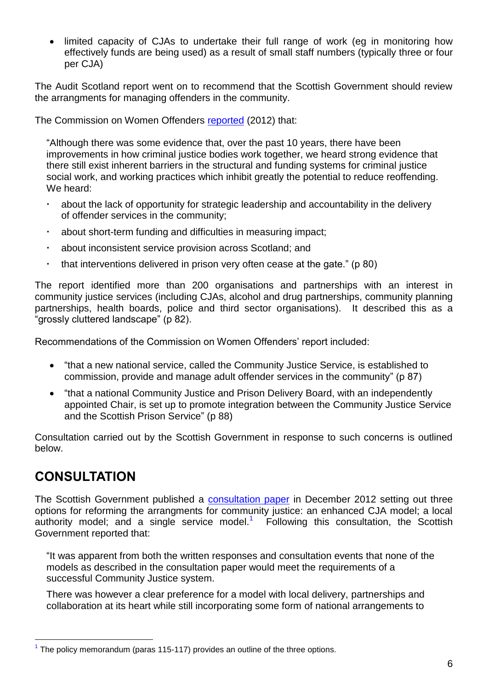• limited capacity of CJAs to undertake their full range of work (eg in monitoring how effectively funds are being used) as a result of small staff numbers (typically three or four per CJA)

The Audit Scotland report went on to recommend that the Scottish Government should review the arrangments for managing offenders in the community.

The Commission on Women Offenders [reported](http://www.gov.scot/About/Review/commissiononwomenoffenders/finalreport-2012) (2012) that:

"Although there was some evidence that, over the past 10 years, there have been improvements in how criminal justice bodies work together, we heard strong evidence that there still exist inherent barriers in the structural and funding systems for criminal justice social work, and working practices which inhibit greatly the potential to reduce reoffending. We heard:

- about the lack of opportunity for strategic leadership and accountability in the delivery of offender services in the community;
- about short-term funding and difficulties in measuring impact;
- about inconsistent service provision across Scotland; and
- that interventions delivered in prison very often cease at the gate." ( $p 80$ )

The report identified more than 200 organisations and partnerships with an interest in community justice services (including CJAs, alcohol and drug partnerships, community planning partnerships, health boards, police and third sector organisations). It described this as a "grossly cluttered landscape" (p 82).

Recommendations of the Commission on Women Offenders' report included:

- "that a new national service, called the Community Justice Service, is established to commission, provide and manage adult offender services in the community" (p 87)
- "that a national Community Justice and Prison Delivery Board, with an independently appointed Chair, is set up to promote integration between the Community Justice Service and the Scottish Prison Service" (p 88)

Consultation carried out by the Scottish Government in response to such concerns is outlined below.

## <span id="page-5-0"></span>**CONSULTATION**

 $\overline{a}$ 

The Scottish Government published a [consultation paper](http://www.gov.scot/Publications/2012/12/7292) in December 2012 setting out three options for reforming the arrangments for community justice: an enhanced CJA model; a local authority model; and a single service model.<sup>1</sup> Following this consultation, the Scottish Government reported that:

"It was apparent from both the written responses and consultation events that none of the models as described in the consultation paper would meet the requirements of a successful Community Justice system.

There was however a clear preference for a model with local delivery, partnerships and collaboration at its heart while still incorporating some form of national arrangements to

 $<sup>1</sup>$  The policy memorandum (paras 115-117) provides an outline of the three options.</sup>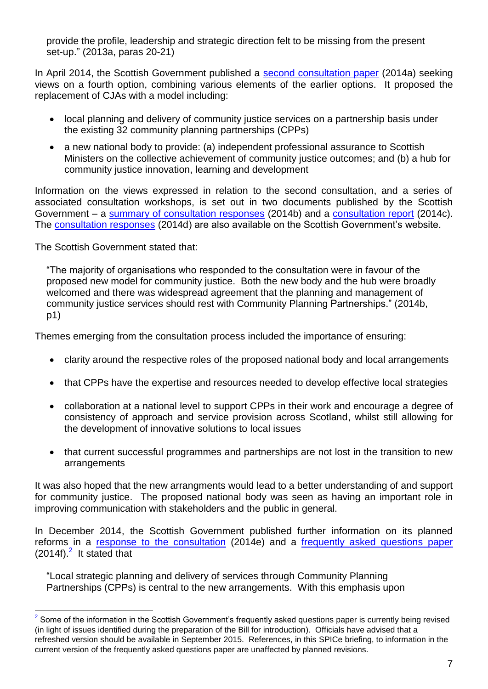provide the profile, leadership and strategic direction felt to be missing from the present set-up." (2013a, paras 20-21)

In April 2014, the Scottish Government published a [second consultation paper](http://www.gov.scot/Publications/2014/04/7616) (2014a) seeking views on a fourth option, combining various elements of the earlier options. It proposed the replacement of CJAs with a model including:

- local planning and delivery of community justice services on a partnership basis under the existing 32 community planning partnerships (CPPs)
- a new national body to provide: (a) independent professional assurance to Scottish Ministers on the collective achievement of community justice outcomes; and (b) a hub for community justice innovation, learning and development

Information on the views expressed in relation to the second consultation, and a series of associated consultation workshops, is set out in two documents published by the Scottish Government – a [summary of consultation responses](http://www.gov.scot/Publications/2014/10/2591) (2014b) and a [consultation report](http://www.gov.scot/Publications/2014/10/1358) (2014c). The [consultation responses](http://www.gov.scot/Publications/2014/10/9125) (2014d) are also available on the Scottish Government's website.

The Scottish Government stated that:

 $\overline{a}$ 

"The majority of organisations who responded to the consultation were in favour of the proposed new model for community justice. Both the new body and the hub were broadly welcomed and there was widespread agreement that the planning and management of community justice services should rest with Community Planning Partnerships." (2014b, p1)

Themes emerging from the consultation process included the importance of ensuring:

- clarity around the respective roles of the proposed national body and local arrangements
- that CPPs have the expertise and resources needed to develop effective local strategies
- collaboration at a national level to support CPPs in their work and encourage a degree of consistency of approach and service provision across Scotland, whilst still allowing for the development of innovative solutions to local issues
- that current successful programmes and partnerships are not lost in the transition to new arrangements

It was also hoped that the new arrangments would lead to a better understanding of and support for community justice. The proposed national body was seen as having an important role in improving communication with stakeholders and the public in general.

In December 2014, the Scottish Government published further information on its planned reforms in a [response to the consultation](http://www.scotland.gov.uk/Publications/2014/12/9083) (2014e) and a [frequently asked questions paper](http://www.scotland.gov.uk/Publications/2014/12/9916)  $(2014f).<sup>2</sup>$  It stated that

"Local strategic planning and delivery of services through Community Planning Partnerships (CPPs) is central to the new arrangements. With this emphasis upon

 $2$  Some of the information in the Scottish Government's frequently asked questions paper is currently being revised (in light of issues identified during the preparation of the Bill for introduction). Officials have advised that a refreshed version should be available in September 2015. References, in this SPICe briefing, to information in the current version of the frequently asked questions paper are unaffected by planned revisions.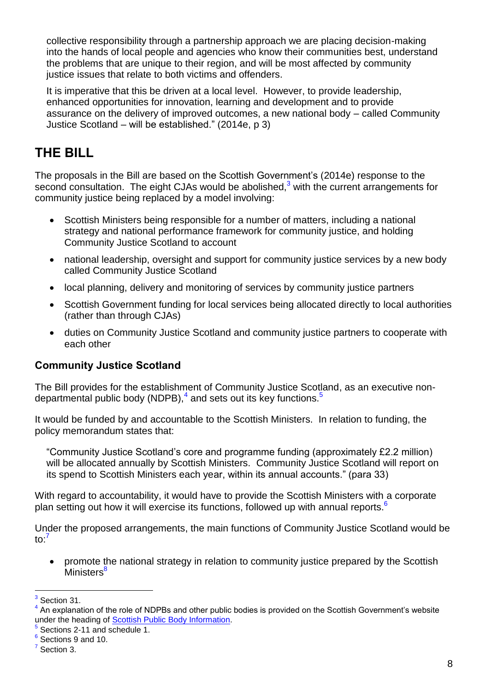collective responsibility through a partnership approach we are placing decision-making into the hands of local people and agencies who know their communities best, understand the problems that are unique to their region, and will be most affected by community justice issues that relate to both victims and offenders.

It is imperative that this be driven at a local level. However, to provide leadership, enhanced opportunities for innovation, learning and development and to provide assurance on the delivery of improved outcomes, a new national body – called Community Justice Scotland – will be established." (2014e, p 3)

## <span id="page-7-0"></span>**THE BILL**

The proposals in the Bill are based on the Scottish Government's (2014e) response to the second consultation. The eight CJAs would be abolished, $3$  with the current arrangements for community justice being replaced by a model involving:

- Scottish Ministers being responsible for a number of matters, including a national strategy and national performance framework for community justice, and holding Community Justice Scotland to account
- national leadership, oversight and support for community justice services by a new body called Community Justice Scotland
- local planning, delivery and monitoring of services by community justice partners
- Scottish Government funding for local services being allocated directly to local authorities (rather than through CJAs)
- duties on Community Justice Scotland and community justice partners to cooperate with each other

#### <span id="page-7-1"></span>**Community Justice Scotland**

The Bill provides for the establishment of Community Justice Scotland, as an executive nondepartmental public body (NDPB),<sup>4</sup> and sets out its key functions.<sup>5</sup>

It would be funded by and accountable to the Scottish Ministers. In relation to funding, the policy memorandum states that:

"Community Justice Scotland's core and programme funding (approximately £2.2 million) will be allocated annually by Scottish Ministers. Community Justice Scotland will report on its spend to Scottish Ministers each year, within its annual accounts." (para 33)

With regard to accountability, it would have to provide the Scottish Ministers with a corporate plan setting out how it will exercise its functions, followed up with annual reports.<sup>6</sup>

Under the proposed arrangements, the main functions of Community Justice Scotland would be to: 7

 promote the national strategy in relation to community justice prepared by the Scottish Ministers<sup>8</sup>

 $\overline{a}$  $3$  Section 31.

<sup>&</sup>lt;sup>4</sup> An explanation of the role of NDPBs and other public bodies is provided on the Scottish Government's website under the heading of [Scottish Public Body Information.](http://www.gov.scot/Topics/Government/public-bodies/about)

<sup>&</sup>lt;sup>5</sup> Sections 2-11 and schedule 1.

<sup>&</sup>lt;sup>6</sup> Sections 9 and 10.

 $<sup>7</sup>$  Section 3.</sup>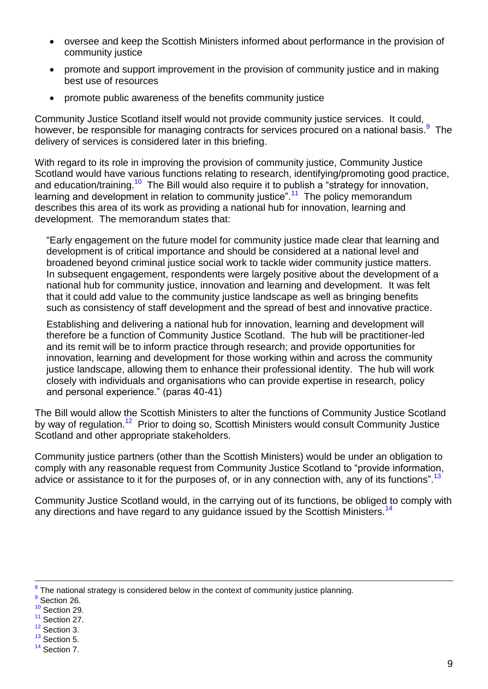- oversee and keep the Scottish Ministers informed about performance in the provision of community justice
- promote and support improvement in the provision of community justice and in making best use of resources
- promote public awareness of the benefits community justice

Community Justice Scotland itself would not provide community justice services. It could, however, be responsible for managing contracts for services procured on a national basis.<sup>9</sup> The delivery of services is considered later in this briefing.

With regard to its role in improving the provision of community justice, Community Justice Scotland would have various functions relating to research, identifying/promoting good practice, and education/training.<sup>10</sup> The Bill would also require it to publish a "strategy for innovation, learning and development in relation to community justice".<sup>11</sup> The policy memorandum describes this area of its work as providing a national hub for innovation, learning and development. The memorandum states that:

"Early engagement on the future model for community justice made clear that learning and development is of critical importance and should be considered at a national level and broadened beyond criminal justice social work to tackle wider community justice matters. In subsequent engagement, respondents were largely positive about the development of a national hub for community justice, innovation and learning and development. It was felt that it could add value to the community justice landscape as well as bringing benefits such as consistency of staff development and the spread of best and innovative practice.

Establishing and delivering a national hub for innovation, learning and development will therefore be a function of Community Justice Scotland. The hub will be practitioner-led and its remit will be to inform practice through research; and provide opportunities for innovation, learning and development for those working within and across the community justice landscape, allowing them to enhance their professional identity. The hub will work closely with individuals and organisations who can provide expertise in research, policy and personal experience." (paras 40-41)

The Bill would allow the Scottish Ministers to alter the functions of Community Justice Scotland by way of regulation.<sup>12</sup> Prior to doing so, Scottish Ministers would consult Community Justice Scotland and other appropriate stakeholders.

Community justice partners (other than the Scottish Ministers) would be under an obligation to comply with any reasonable request from Community Justice Scotland to "provide information, advice or assistance to it for the purposes of, or in any connection with, any of its functions".<sup>13</sup>

Community Justice Scotland would, in the carrying out of its functions, be obliged to comply with any directions and have regard to any guidance issued by the Scottish Ministers.<sup>14</sup>

- <sup>10</sup> Section 29.
- <sup>11</sup> Section 27.
- $12$  Section 3.
- $13$  Section 5.

 $8$  The national strategy is considered below in the context of community justice planning.

<sup>&</sup>lt;sup>9</sup> Section 26.

<sup>&</sup>lt;sup>14</sup> Section 7.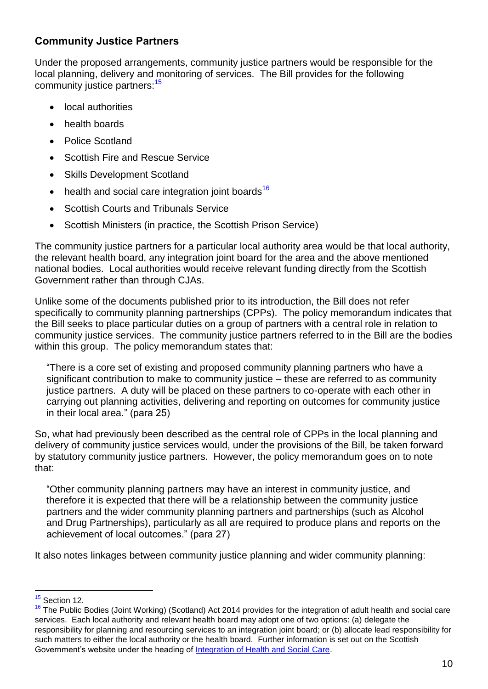### <span id="page-9-0"></span>**Community Justice Partners**

Under the proposed arrangements, community justice partners would be responsible for the local planning, delivery and monitoring of services. The Bill provides for the following community justice partners:<sup>15</sup>

- local authorities
- health boards
- Police Scotland
- Scottish Fire and Rescue Service
- Skills Development Scotland
- $\bullet$  health and social care integration joint boards<sup>16</sup>
- Scottish Courts and Tribunals Service
- Scottish Ministers (in practice, the Scottish Prison Service)

The community justice partners for a particular local authority area would be that local authority, the relevant health board, any integration joint board for the area and the above mentioned national bodies. Local authorities would receive relevant funding directly from the Scottish Government rather than through CJAs.

Unlike some of the documents published prior to its introduction, the Bill does not refer specifically to community planning partnerships (CPPs). The policy memorandum indicates that the Bill seeks to place particular duties on a group of partners with a central role in relation to community justice services. The community justice partners referred to in the Bill are the bodies within this group. The policy memorandum states that:

"There is a core set of existing and proposed community planning partners who have a significant contribution to make to community justice – these are referred to as community justice partners. A duty will be placed on these partners to co-operate with each other in carrying out planning activities, delivering and reporting on outcomes for community justice in their local area." (para 25)

So, what had previously been described as the central role of CPPs in the local planning and delivery of community justice services would, under the provisions of the Bill, be taken forward by statutory community justice partners. However, the policy memorandum goes on to note that:

"Other community planning partners may have an interest in community justice, and therefore it is expected that there will be a relationship between the community justice partners and the wider community planning partners and partnerships (such as Alcohol and Drug Partnerships), particularly as all are required to produce plans and reports on the achievement of local outcomes." (para 27)

It also notes linkages between community justice planning and wider community planning:

<sup>&</sup>lt;sup>15</sup> Section 12.

<sup>&</sup>lt;sup>16</sup> The Public Bodies (Joint Working) (Scotland) Act 2014 provides for the integration of adult health and social care services. Each local authority and relevant health board may adopt one of two options: (a) delegate the responsibility for planning and resourcing services to an integration joint board; or (b) allocate lead responsibility for such matters to either the local authority or the health board. Further information is set out on the Scottish Government's website under the heading of [Integration of Health and Social Care.](http://www.gov.scot/Topics/Health/Policy/Adult-Health-SocialCare-Integration)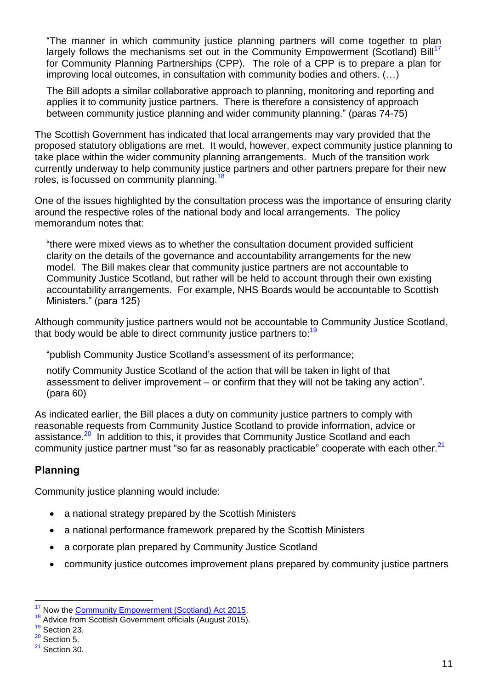"The manner in which community justice planning partners will come together to plan largely follows the mechanisms set out in the Community Empowerment (Scotland) Bill<sup>17</sup> for Community Planning Partnerships (CPP). The role of a CPP is to prepare a plan for improving local outcomes, in consultation with community bodies and others. (…)

The Bill adopts a similar collaborative approach to planning, monitoring and reporting and applies it to community justice partners. There is therefore a consistency of approach between community justice planning and wider community planning." (paras 74-75)

The Scottish Government has indicated that local arrangements may vary provided that the proposed statutory obligations are met. It would, however, expect community justice planning to take place within the wider community planning arrangements. Much of the transition work currently underway to help community justice partners and other partners prepare for their new roles, is focussed on community planning.<sup>18</sup>

One of the issues highlighted by the consultation process was the importance of ensuring clarity around the respective roles of the national body and local arrangements. The policy memorandum notes that:

"there were mixed views as to whether the consultation document provided sufficient clarity on the details of the governance and accountability arrangements for the new model. The Bill makes clear that community justice partners are not accountable to Community Justice Scotland, but rather will be held to account through their own existing accountability arrangements. For example, NHS Boards would be accountable to Scottish Ministers." (para 125)

Although community justice partners would not be accountable to Community Justice Scotland, that body would be able to direct community justice partners to:<sup>19</sup>

"publish Community Justice Scotland's assessment of its performance;

notify Community Justice Scotland of the action that will be taken in light of that assessment to deliver improvement – or confirm that they will not be taking any action". (para 60)

As indicated earlier, the Bill places a duty on community justice partners to comply with reasonable requests from Community Justice Scotland to provide information, advice or assistance.<sup>20</sup> In addition to this, it provides that Community Justice Scotland and each community justice partner must "so far as reasonably practicable" cooperate with each other. $21$ 

## <span id="page-10-0"></span>**Planning**

Community justice planning would include:

- a national strategy prepared by the Scottish Ministers
- a national performance framework prepared by the Scottish Ministers
- a corporate plan prepared by Community Justice Scotland
- community justice outcomes improvement plans prepared by community justice partners

<sup>&</sup>lt;sup>17</sup> Now the [Community Empowerment \(Scotland\) Act 2015.](http://www.legislation.gov.uk/asp/2015/6/contents/enacted)

<sup>&</sup>lt;sup>18</sup> Advice from Scottish Government officials (August 2015).

<sup>&</sup>lt;sup>19</sup> Section 23.

 $20$  Section 5.

 $21$  Section 30.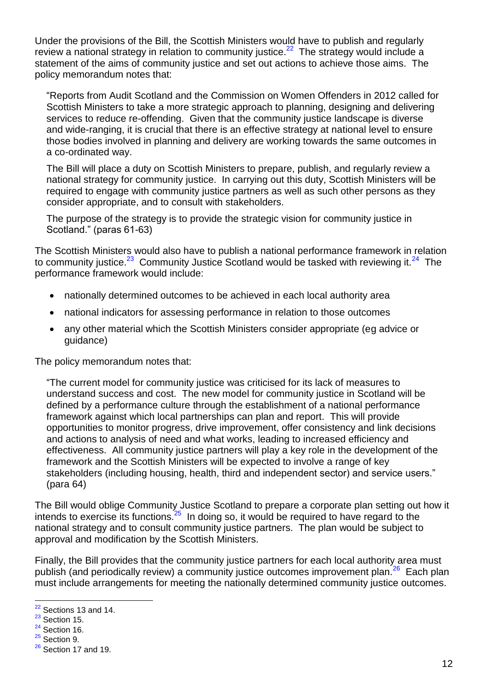Under the provisions of the Bill, the Scottish Ministers would have to publish and regularly review a national strategy in relation to community justice. $^{22}$  The strategy would include a statement of the aims of community justice and set out actions to achieve those aims. The policy memorandum notes that:

"Reports from Audit Scotland and the Commission on Women Offenders in 2012 called for Scottish Ministers to take a more strategic approach to planning, designing and delivering services to reduce re-offending. Given that the community justice landscape is diverse and wide-ranging, it is crucial that there is an effective strategy at national level to ensure those bodies involved in planning and delivery are working towards the same outcomes in a co-ordinated way.

The Bill will place a duty on Scottish Ministers to prepare, publish, and regularly review a national strategy for community justice. In carrying out this duty, Scottish Ministers will be required to engage with community justice partners as well as such other persons as they consider appropriate, and to consult with stakeholders.

The purpose of the strategy is to provide the strategic vision for community justice in Scotland." (paras 61-63)

The Scottish Ministers would also have to publish a national performance framework in relation to community justice.<sup>23</sup> Community Justice Scotland would be tasked with reviewing it.<sup>24</sup> The performance framework would include:

- nationally determined outcomes to be achieved in each local authority area
- national indicators for assessing performance in relation to those outcomes
- any other material which the Scottish Ministers consider appropriate (eg advice or guidance)

The policy memorandum notes that:

"The current model for community justice was criticised for its lack of measures to understand success and cost. The new model for community justice in Scotland will be defined by a performance culture through the establishment of a national performance framework against which local partnerships can plan and report. This will provide opportunities to monitor progress, drive improvement, offer consistency and link decisions and actions to analysis of need and what works, leading to increased efficiency and effectiveness. All community justice partners will play a key role in the development of the framework and the Scottish Ministers will be expected to involve a range of key stakeholders (including housing, health, third and independent sector) and service users." (para 64)

The Bill would oblige Community Justice Scotland to prepare a corporate plan setting out how it intends to exercise its functions. $25$  In doing so, it would be required to have regard to the national strategy and to consult community justice partners. The plan would be subject to approval and modification by the Scottish Ministers.

Finally, the Bill provides that the community justice partners for each local authority area must publish (and periodically review) a community justice outcomes improvement plan.<sup>26</sup> Each plan must include arrangements for meeting the nationally determined community justice outcomes.

 $22$  Sections 13 and 14.

 $23$  Section 15.

 $24$  Section 16.

 $25$  Section 9.

 $26$  Section 17 and 19.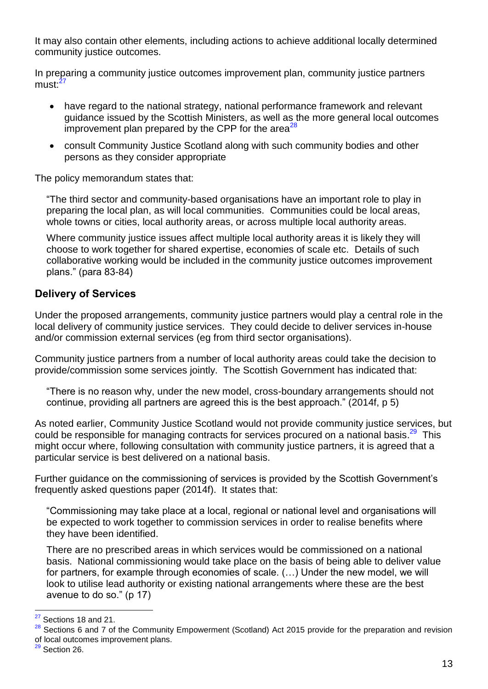It may also contain other elements, including actions to achieve additional locally determined community justice outcomes.

In preparing a community justice outcomes improvement plan, community justice partners must:<sup>27</sup>

- have regard to the national strategy, national performance framework and relevant guidance issued by the Scottish Ministers, as well as the more general local outcomes improvement plan prepared by the CPP for the area<sup>28</sup>
- consult Community Justice Scotland along with such community bodies and other persons as they consider appropriate

The policy memorandum states that:

"The third sector and community-based organisations have an important role to play in preparing the local plan, as will local communities. Communities could be local areas, whole towns or cities, local authority areas, or across multiple local authority areas.

Where community justice issues affect multiple local authority areas it is likely they will choose to work together for shared expertise, economies of scale etc. Details of such collaborative working would be included in the community justice outcomes improvement plans." (para 83-84)

## <span id="page-12-0"></span>**Delivery of Services**

Under the proposed arrangements, community justice partners would play a central role in the local delivery of community justice services. They could decide to deliver services in-house and/or commission external services (eg from third sector organisations).

Community justice partners from a number of local authority areas could take the decision to provide/commission some services jointly. The Scottish Government has indicated that:

"There is no reason why, under the new model, cross-boundary arrangements should not continue, providing all partners are agreed this is the best approach." (2014f, p 5)

As noted earlier, Community Justice Scotland would not provide community justice services, but could be responsible for managing contracts for services procured on a national basis.<sup>29</sup> This might occur where, following consultation with community justice partners, it is agreed that a particular service is best delivered on a national basis.

Further guidance on the commissioning of services is provided by the Scottish Government's frequently asked questions paper (2014f). It states that:

"Commissioning may take place at a local, regional or national level and organisations will be expected to work together to commission services in order to realise benefits where they have been identified.

There are no prescribed areas in which services would be commissioned on a national basis. National commissioning would take place on the basis of being able to deliver value for partners, for example through economies of scale. (…) Under the new model, we will look to utilise lead authority or existing national arrangements where these are the best avenue to do so." (p 17)

 $27$  Sections 18 and 21.

<sup>&</sup>lt;sup>28</sup> Sections 6 and 7 of the Community Empowerment (Scotland) Act 2015 provide for the preparation and revision of local outcomes improvement plans.

 $29$  Section 26.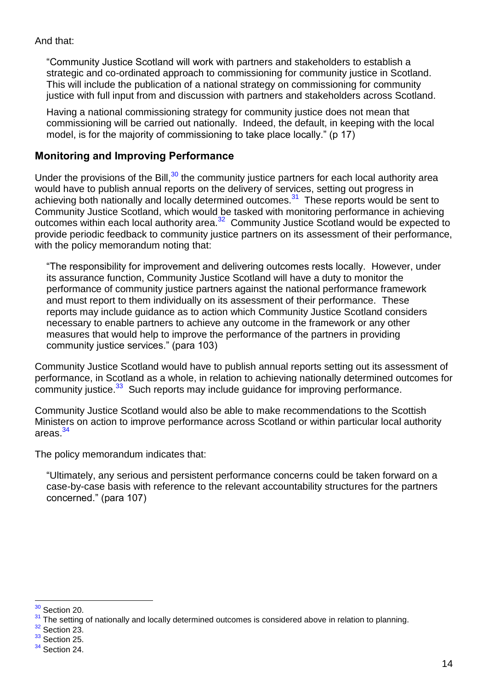#### And that:

"Community Justice Scotland will work with partners and stakeholders to establish a strategic and co-ordinated approach to commissioning for community justice in Scotland. This will include the publication of a national strategy on commissioning for community justice with full input from and discussion with partners and stakeholders across Scotland.

Having a national commissioning strategy for community justice does not mean that commissioning will be carried out nationally. Indeed, the default, in keeping with the local model, is for the majority of commissioning to take place locally." (p 17)

#### <span id="page-13-0"></span>**Monitoring and Improving Performance**

Under the provisions of the Bill, $30$  the community justice partners for each local authority area would have to publish annual reports on the delivery of services, setting out progress in achieving both nationally and locally determined outcomes.<sup>31</sup> These reports would be sent to Community Justice Scotland, which would be tasked with monitoring performance in achieving outcomes within each local authority area.<sup>32</sup> Community Justice Scotland would be expected to provide periodic feedback to community justice partners on its assessment of their performance, with the policy memorandum noting that:

"The responsibility for improvement and delivering outcomes rests locally. However, under its assurance function, Community Justice Scotland will have a duty to monitor the performance of community justice partners against the national performance framework and must report to them individually on its assessment of their performance. These reports may include guidance as to action which Community Justice Scotland considers necessary to enable partners to achieve any outcome in the framework or any other measures that would help to improve the performance of the partners in providing community justice services." (para 103)

Community Justice Scotland would have to publish annual reports setting out its assessment of performance, in Scotland as a whole, in relation to achieving nationally determined outcomes for community justice.<sup>33</sup> Such reports may include guidance for improving performance.

Community Justice Scotland would also be able to make recommendations to the Scottish Ministers on action to improve performance across Scotland or within particular local authority areas.<sup>34</sup>

The policy memorandum indicates that:

"Ultimately, any serious and persistent performance concerns could be taken forward on a case-by-case basis with reference to the relevant accountability structures for the partners concerned." (para 107)

 $\overline{a}$ <sup>30</sup> Section 20.

<sup>31</sup> The setting of nationally and locally determined outcomes is considered above in relation to planning.

<sup>&</sup>lt;sup>32</sup> Section 23.

 $33$  Section 25.

<sup>&</sup>lt;sup>34</sup> Section 24.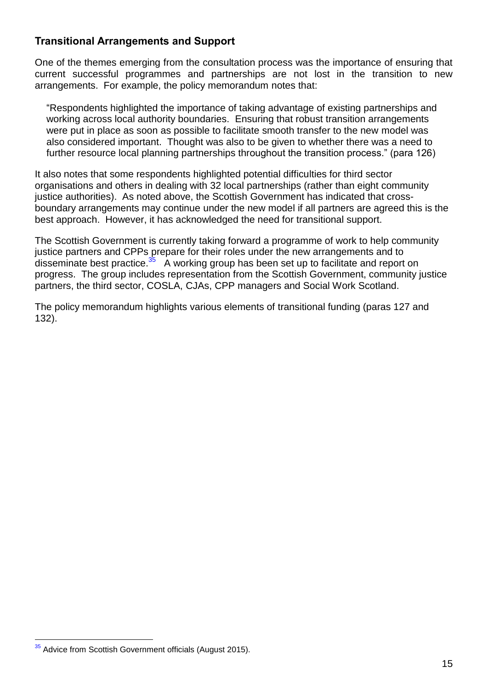### <span id="page-14-0"></span>**Transitional Arrangements and Support**

One of the themes emerging from the consultation process was the importance of ensuring that current successful programmes and partnerships are not lost in the transition to new arrangements. For example, the policy memorandum notes that:

"Respondents highlighted the importance of taking advantage of existing partnerships and working across local authority boundaries. Ensuring that robust transition arrangements were put in place as soon as possible to facilitate smooth transfer to the new model was also considered important. Thought was also to be given to whether there was a need to further resource local planning partnerships throughout the transition process." (para 126)

It also notes that some respondents highlighted potential difficulties for third sector organisations and others in dealing with 32 local partnerships (rather than eight community justice authorities). As noted above, the Scottish Government has indicated that crossboundary arrangements may continue under the new model if all partners are agreed this is the best approach. However, it has acknowledged the need for transitional support.

The Scottish Government is currently taking forward a programme of work to help community justice partners and CPPs prepare for their roles under the new arrangements and to disseminate best practice.<sup>35</sup> A working group has been set up to facilitate and report on progress. The group includes representation from the Scottish Government, community justice partners, the third sector, COSLA, CJAs, CPP managers and Social Work Scotland.

The policy memorandum highlights various elements of transitional funding (paras 127 and 132).

 $\overline{a}$ <sup>35</sup> Advice from Scottish Government officials (August 2015).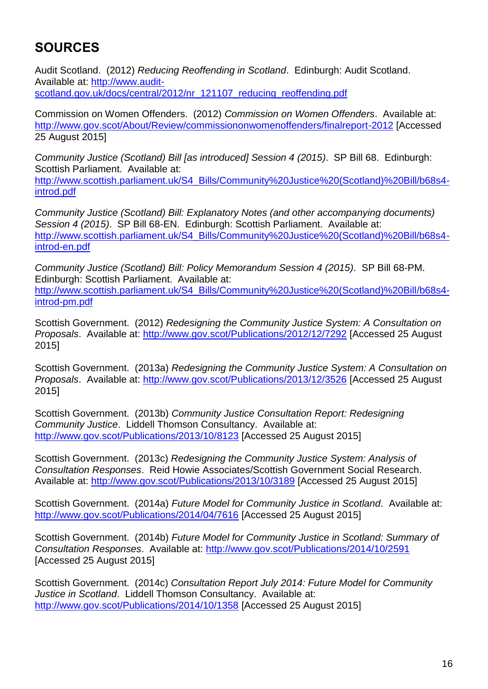# <span id="page-15-0"></span>**SOURCES**

Audit Scotland. (2012) *Reducing Reoffending in Scotland*. Edinburgh: Audit Scotland. Available at: [http://www.audit](http://www.audit-scotland.gov.uk/docs/central/2012/nr_121107_reducing_reoffending.pdf)[scotland.gov.uk/docs/central/2012/nr\\_121107\\_reducing\\_reoffending.pdf](http://www.audit-scotland.gov.uk/docs/central/2012/nr_121107_reducing_reoffending.pdf)

Commission on Women Offenders. (2012) *Commission on Women Offenders*. Available at: <http://www.gov.scot/About/Review/commissiononwomenoffenders/finalreport-2012> [Accessed 25 August 2015]

*Community Justice (Scotland) Bill [as introduced] Session 4 (2015)*. SP Bill 68. Edinburgh: Scottish Parliament. Available at: [http://www.scottish.parliament.uk/S4\\_Bills/Community%20Justice%20\(Scotland\)%20Bill/b68s4](http://www.scottish.parliament.uk/S4_Bills/Community%20Justice%20(Scotland)%20Bill/b68s4-introd.pdf) [introd.pdf](http://www.scottish.parliament.uk/S4_Bills/Community%20Justice%20(Scotland)%20Bill/b68s4-introd.pdf)

*Community Justice (Scotland) Bill: Explanatory Notes (and other accompanying documents) Session 4 (2015)*. SP Bill 68-EN. Edinburgh: Scottish Parliament. Available at: [http://www.scottish.parliament.uk/S4\\_Bills/Community%20Justice%20\(Scotland\)%20Bill/b68s4](http://www.scottish.parliament.uk/S4_Bills/Community%20Justice%20(Scotland)%20Bill/b68s4-introd-en.pdf) [introd-en.pdf](http://www.scottish.parliament.uk/S4_Bills/Community%20Justice%20(Scotland)%20Bill/b68s4-introd-en.pdf)

*Community Justice (Scotland) Bill: Policy Memorandum Session 4 (2015)*. SP Bill 68-PM. Edinburgh: Scottish Parliament. Available at: [http://www.scottish.parliament.uk/S4\\_Bills/Community%20Justice%20\(Scotland\)%20Bill/b68s4](http://www.scottish.parliament.uk/S4_Bills/Community%20Justice%20(Scotland)%20Bill/b68s4-introd-pm.pdf) [introd-pm.pdf](http://www.scottish.parliament.uk/S4_Bills/Community%20Justice%20(Scotland)%20Bill/b68s4-introd-pm.pdf)

Scottish Government. (2012) *Redesigning the Community Justice System: A Consultation on Proposals*. Available at:<http://www.gov.scot/Publications/2012/12/7292> [Accessed 25 August 2015]

Scottish Government. (2013a) *Redesigning the Community Justice System: A Consultation on Proposals*. Available at:<http://www.gov.scot/Publications/2013/12/3526> [Accessed 25 August 2015]

Scottish Government. (2013b) *Community Justice Consultation Report: Redesigning Community Justice*. Liddell Thomson Consultancy. Available at: <http://www.gov.scot/Publications/2013/10/8123> [Accessed 25 August 2015]

Scottish Government. (2013c) *Redesigning the Community Justice System: Analysis of Consultation Responses*. Reid Howie Associates/Scottish Government Social Research. Available at:<http://www.gov.scot/Publications/2013/10/3189> [Accessed 25 August 2015]

Scottish Government. (2014a) *Future Model for Community Justice in Scotland*. Available at: <http://www.gov.scot/Publications/2014/04/7616> [Accessed 25 August 2015]

Scottish Government. (2014b) *Future Model for Community Justice in Scotland: Summary of Consultation Responses*. Available at:<http://www.gov.scot/Publications/2014/10/2591> [Accessed 25 August 2015]

Scottish Government. (2014c) *Consultation Report July 2014: Future Model for Community Justice in Scotland*. Liddell Thomson Consultancy. Available at: <http://www.gov.scot/Publications/2014/10/1358> [Accessed 25 August 2015]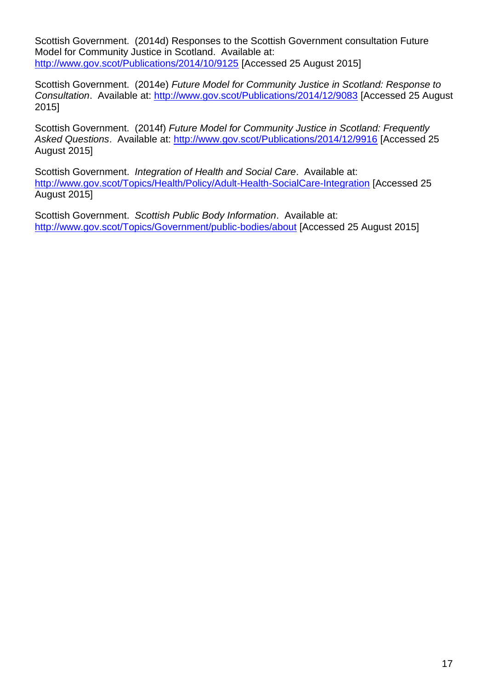Scottish Government. (2014d) Responses to the Scottish Government consultation Future Model for Community Justice in Scotland. Available at: <http://www.gov.scot/Publications/2014/10/9125> [Accessed 25 August 2015]

Scottish Government. (2014e) *Future Model for Community Justice in Scotland: Response to Consultation*. Available at:<http://www.gov.scot/Publications/2014/12/9083> [Accessed 25 August 2015]

Scottish Government. (2014f) *Future Model for Community Justice in Scotland: Frequently Asked Questions*. Available at:<http://www.gov.scot/Publications/2014/12/9916> [Accessed 25 August 2015]

Scottish Government. *Integration of Health and Social Care*. Available at: <http://www.gov.scot/Topics/Health/Policy/Adult-Health-SocialCare-Integration> [Accessed 25 August 2015]

Scottish Government. *Scottish Public Body Information*. Available at: <http://www.gov.scot/Topics/Government/public-bodies/about> [Accessed 25 August 2015]